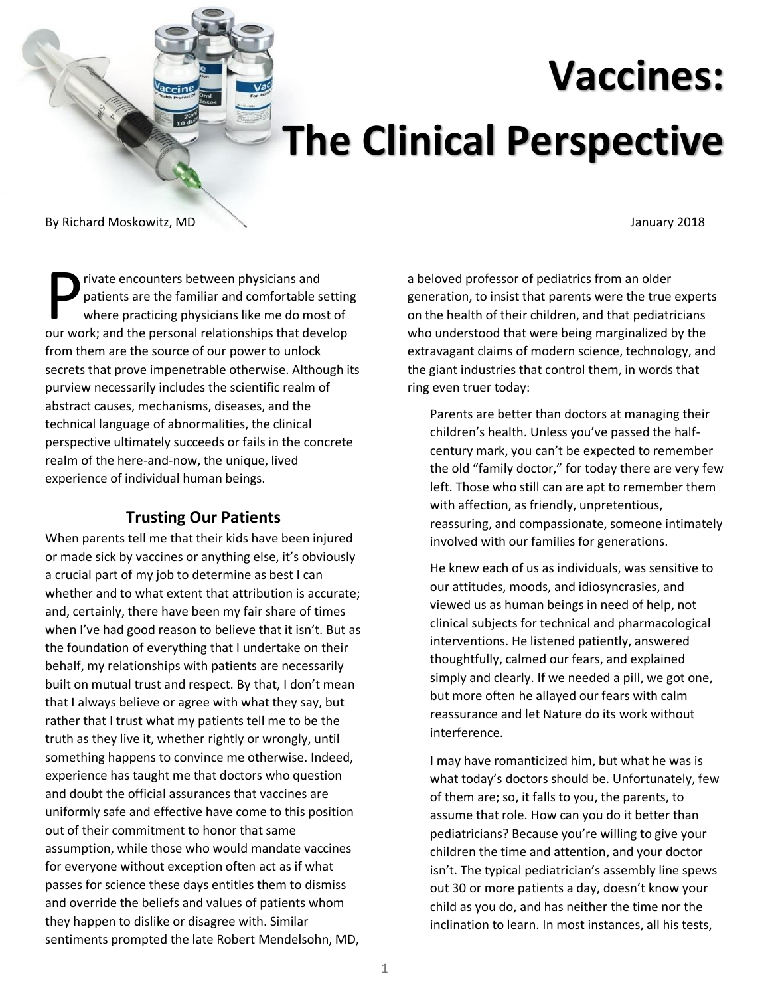# **Vaccines:**

# **The Clinical Perspective**

By Richard Moskowitz, MD **South American** Security 2018 **January 2018** 

rivate encounters between physicians and patients are the familiar and comfortable setting where practicing physicians like me do most of private encounters between physicians and<br>patients are the familiar and comfortable settin<br>where practicing physicians like me do most of<br>our work; and the personal relationships that develop from them are the source of our power to unlock secrets that prove impenetrable otherwise. Although its purview necessarily includes the scientific realm of abstract causes, mechanisms, diseases, and the technical language of abnormalities, the clinical perspective ultimately succeeds or fails in the concrete realm of the here-and-now, the unique, lived experience of individual human beings.

## **Trusting Our Patients**

When parents tell me that their kids have been injured or made sick by vaccines or anything else, it's obviously a crucial part of my job to determine as best I can whether and to what extent that attribution is accurate; and, certainly, there have been my fair share of times when I've had good reason to believe that it isn't. But as the foundation of everything that I undertake on their behalf, my relationships with patients are necessarily built on mutual trust and respect. By that, I don't mean that I always believe or agree with what they say, but rather that I trust what my patients tell me to be the truth as they live it, whether rightly or wrongly, until something happens to convince me otherwise. Indeed, experience has taught me that doctors who question and doubt the official assurances that vaccines are uniformly safe and effective have come to this position out of their commitment to honor that same assumption, while those who would mandate vaccines for everyone without exception often act as if what passes for science these days entitles them to dismiss and override the beliefs and values of patients whom they happen to dislike or disagree with. Similar sentiments prompted the late Robert Mendelsohn, MD,

a beloved professor of pediatrics from an older generation, to insist that parents were the true experts on the health of their children, and that pediatricians who understood that were being marginalized by the extravagant claims of modern science, technology, and the giant industries that control them, in words that ring even truer today:

Parents are better than doctors at managing their children's health. Unless you've passed the halfcentury mark, you can't be expected to remember the old "family doctor," for today there are very few left. Those who still can are apt to remember them with affection, as friendly, unpretentious, reassuring, and compassionate, someone intimately involved with our families for generations.

He knew each of us as individuals, was sensitive to our attitudes, moods, and idiosyncrasies, and viewed us as human beings in need of help, not clinical subjects for technical and pharmacological interventions. He listened patiently, answered thoughtfully, calmed our fears, and explained simply and clearly. If we needed a pill, we got one, but more often he allayed our fears with calm reassurance and let Nature do its work without interference.

I may have romanticized him, but what he was is what today's doctors should be. Unfortunately, few of them are; so, it falls to you, the parents, to assume that role. How can you do it better than pediatricians? Because you're willing to give your children the time and attention, and your doctor isn't. The typical pediatrician's assembly line spews out 30 or more patients a day, doesn't know your child as you do, and has neither the time nor the inclination to learn. In most instances, all his tests,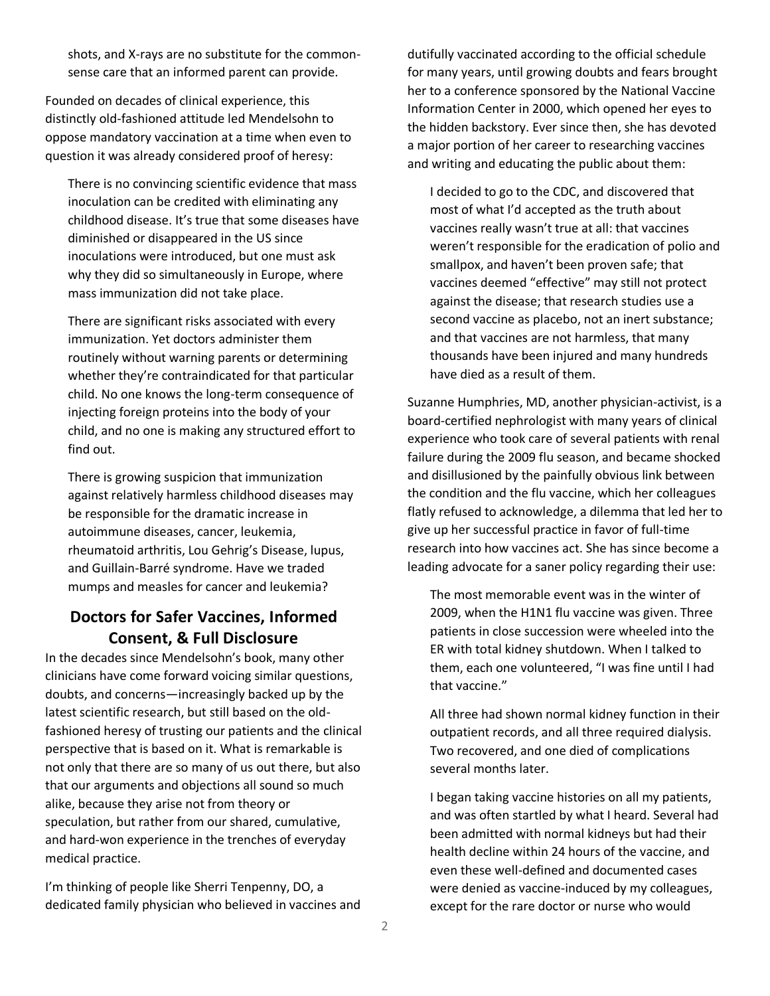shots, and X-rays are no substitute for the commonsense care that an informed parent can provide.

Founded on decades of clinical experience, this distinctly old-fashioned attitude led Mendelsohn to oppose mandatory vaccination at a time when even to question it was already considered proof of heresy:

There is no convincing scientific evidence that mass inoculation can be credited with eliminating any childhood disease. It's true that some diseases have diminished or disappeared in the US since inoculations were introduced, but one must ask why they did so simultaneously in Europe, where mass immunization did not take place.

There are significant risks associated with every immunization. Yet doctors administer them routinely without warning parents or determining whether they're contraindicated for that particular child. No one knows the long-term consequence of injecting foreign proteins into the body of your child, and no one is making any structured effort to find out.

There is growing suspicion that immunization against relatively harmless childhood diseases may be responsible for the dramatic increase in autoimmune diseases, cancer, leukemia, rheumatoid arthritis, Lou Gehrig's Disease, lupus, and Guillain-Barré syndrome. Have we traded mumps and measles for cancer and leukemia?

## **Doctors for Safer Vaccines, Informed Consent, & Full Disclosure**

In the decades since Mendelsohn's book, many other clinicians have come forward voicing similar questions, doubts, and concerns—increasingly backed up by the latest scientific research, but still based on the oldfashioned heresy of trusting our patients and the clinical perspective that is based on it. What is remarkable is not only that there are so many of us out there, but also that our arguments and objections all sound so much alike, because they arise not from theory or speculation, but rather from our shared, cumulative, and hard-won experience in the trenches of everyday medical practice.

I'm thinking of people like Sherri Tenpenny, DO, a dedicated family physician who believed in vaccines and dutifully vaccinated according to the official schedule for many years, until growing doubts and fears brought her to a conference sponsored by the National Vaccine Information Center in 2000, which opened her eyes to the hidden backstory. Ever since then, she has devoted a major portion of her career to researching vaccines and writing and educating the public about them:

I decided to go to the CDC, and discovered that most of what I'd accepted as the truth about vaccines really wasn't true at all: that vaccines weren't responsible for the eradication of polio and smallpox, and haven't been proven safe; that vaccines deemed "effective" may still not protect against the disease; that research studies use a second vaccine as placebo, not an inert substance; and that vaccines are not harmless, that many thousands have been injured and many hundreds have died as a result of them.

Suzanne Humphries, MD, another physician-activist, is a board-certified nephrologist with many years of clinical experience who took care of several patients with renal failure during the 2009 flu season, and became shocked and disillusioned by the painfully obvious link between the condition and the flu vaccine, which her colleagues flatly refused to acknowledge, a dilemma that led her to give up her successful practice in favor of full-time research into how vaccines act. She has since become a leading advocate for a saner policy regarding their use:

The most memorable event was in the winter of 2009, when the H1N1 flu vaccine was given. Three patients in close succession were wheeled into the ER with total kidney shutdown. When I talked to them, each one volunteered, "I was fine until I had that vaccine."

All three had shown normal kidney function in their outpatient records, and all three required dialysis. Two recovered, and one died of complications several months later.

I began taking vaccine histories on all my patients, and was often startled by what I heard. Several had been admitted with normal kidneys but had their health decline within 24 hours of the vaccine, and even these well-defined and documented cases were denied as vaccine-induced by my colleagues, except for the rare doctor or nurse who would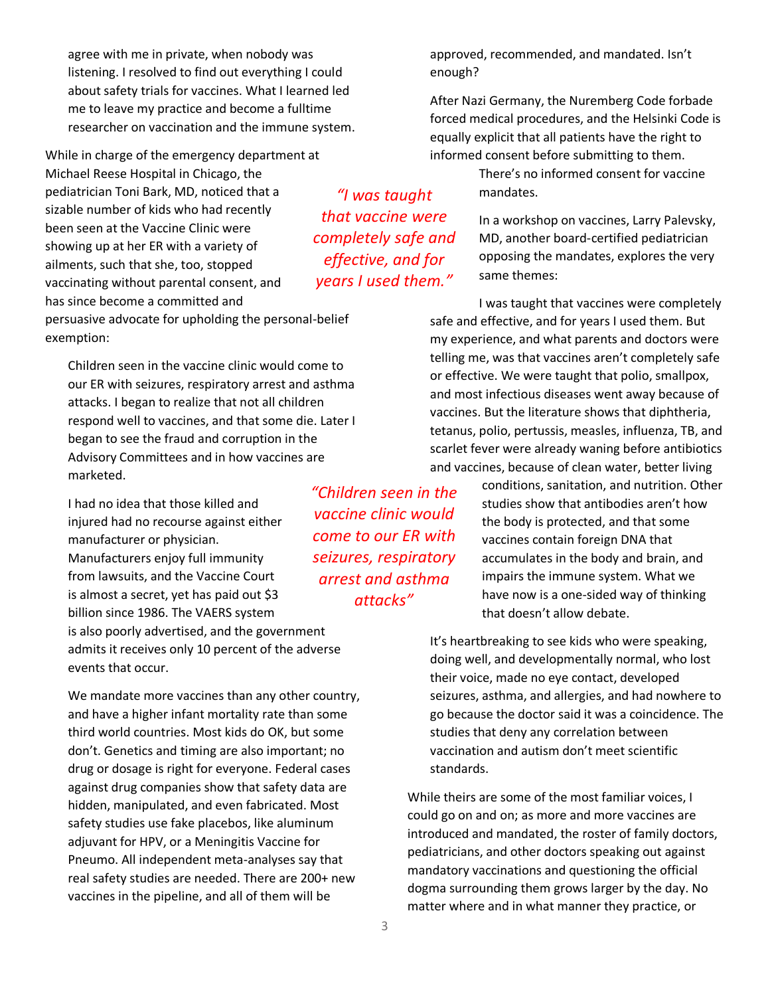agree with me in private, when nobody was listening. I resolved to find out everything I could about safety trials for vaccines. What I learned led me to leave my practice and become a fulltime researcher on vaccination and the immune system.

While in charge of the emergency department at Michael Reese Hospital in Chicago, the pediatrician Toni Bark, MD, noticed that a sizable number of kids who had recently been seen at the Vaccine Clinic were showing up at her ER with a variety of ailments, such that she, too, stopped vaccinating without parental consent, and has since become a committed and persuasive advocate for upholding the personal-belief

exemption:

Children seen in the vaccine clinic would come to our ER with seizures, respiratory arrest and asthma attacks. I began to realize that not all children respond well to vaccines, and that some die. Later I began to see the fraud and corruption in the Advisory Committees and in how vaccines are marketed.

I had no idea that those killed and injured had no recourse against either manufacturer or physician. Manufacturers enjoy full immunity from lawsuits, and the Vaccine Court is almost a secret, yet has paid out \$3 billion since 1986. The VAERS system is also poorly advertised, and the government admits it receives only 10 percent of the adverse events that occur.

We mandate more vaccines than any other country, and have a higher infant mortality rate than some third world countries. Most kids do OK, but some don't. Genetics and timing are also important; no drug or dosage is right for everyone. Federal cases against drug companies show that safety data are hidden, manipulated, and even fabricated. Most safety studies use fake placebos, like aluminum adjuvant for HPV, or a Meningitis Vaccine for Pneumo. All independent meta-analyses say that real safety studies are needed. There are 200+ new vaccines in the pipeline, and all of them will be

approved, recommended, and mandated. Isn't enough?

After Nazi Germany, the Nuremberg Code forbade forced medical procedures, and the Helsinki Code is equally explicit that all patients have the right to informed consent before submitting to them.

> There's no informed consent for vaccine mandates.

In a workshop on vaccines, Larry Palevsky, MD, another board-certified pediatrician opposing the mandates, explores the very same themes:

I was taught that vaccines were completely safe and effective, and for years I used them. But my experience, and what parents and doctors were telling me, was that vaccines aren't completely safe or effective. We were taught that polio, smallpox, and most infectious diseases went away because of vaccines. But the literature shows that diphtheria, tetanus, polio, pertussis, measles, influenza, TB, and scarlet fever were already waning before antibiotics and vaccines, because of clean water, better living

> conditions, sanitation, and nutrition. Other studies show that antibodies aren't how the body is protected, and that some vaccines contain foreign DNA that accumulates in the body and brain, and impairs the immune system. What we have now is a one-sided way of thinking that doesn't allow debate.

It's heartbreaking to see kids who were speaking, doing well, and developmentally normal, who lost their voice, made no eye contact, developed seizures, asthma, and allergies, and had nowhere to go because the doctor said it was a coincidence. The studies that deny any correlation between vaccination and autism don't meet scientific standards.

While theirs are some of the most familiar voices, I could go on and on; as more and more vaccines are introduced and mandated, the roster of family doctors, pediatricians, and other doctors speaking out against mandatory vaccinations and questioning the official dogma surrounding them grows larger by the day. No matter where and in what manner they practice, or

*"Children seen in the vaccine clinic would come to our ER with seizures, respiratory arrest and asthma attacks"*

*"I was taught that vaccine were completely safe and effective, and for years I used them."*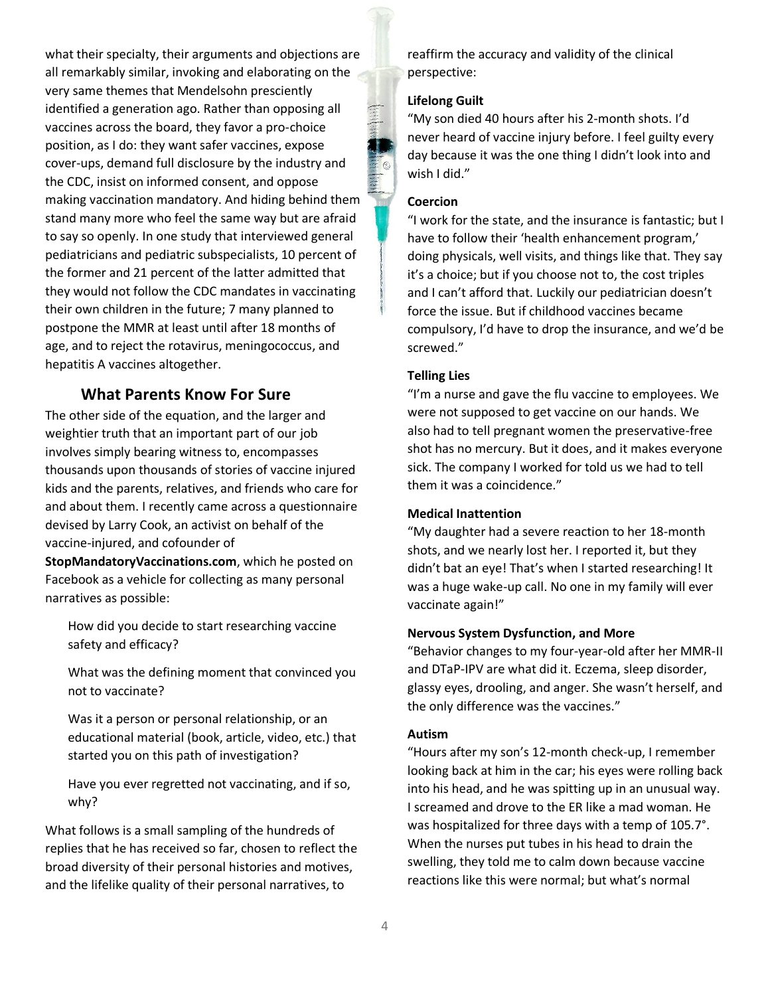what their specialty, their arguments and objections are all remarkably similar, invoking and elaborating on the very same themes that Mendelsohn presciently identified a generation ago. Rather than opposing all vaccines across the board, they favor a pro-choice position, as I do: they want safer vaccines, expose cover-ups, demand full disclosure by the industry and the CDC, insist on informed consent, and oppose making vaccination mandatory. And hiding behind them stand many more who feel the same way but are afraid to say so openly. In one study that interviewed general pediatricians and pediatric subspecialists, 10 percent of the former and 21 percent of the latter admitted that they would not follow the CDC mandates in vaccinating their own children in the future; 7 many planned to postpone the MMR at least until after 18 months of age, and to reject the rotavirus, meningococcus, and hepatitis A vaccines altogether.

## **What Parents Know For Sure**

The other side of the equation, and the larger and weightier truth that an important part of our job involves simply bearing witness to, encompasses thousands upon thousands of stories of vaccine injured kids and the parents, relatives, and friends who care for and about them. I recently came across a questionnaire devised by Larry Cook, an activist on behalf of the vaccine-injured, and cofounder of

**StopMandatoryVaccinations.com**, which he posted on Facebook as a vehicle for collecting as many personal narratives as possible:

How did you decide to start researching vaccine safety and efficacy?

What was the defining moment that convinced you not to vaccinate?

Was it a person or personal relationship, or an educational material (book, article, video, etc.) that started you on this path of investigation?

Have you ever regretted not vaccinating, and if so, why?

What follows is a small sampling of the hundreds of replies that he has received so far, chosen to reflect the broad diversity of their personal histories and motives, and the lifelike quality of their personal narratives, to

reaffirm the accuracy and validity of the clinical perspective:

## **Lifelong Guilt**

"My son died 40 hours after his 2-month shots. I'd never heard of vaccine injury before. I feel guilty every day because it was the one thing I didn't look into and wish I did."

## **Coercion**

 $= 6$ 

"I work for the state, and the insurance is fantastic; but I have to follow their 'health enhancement program,' doing physicals, well visits, and things like that. They say it's a choice; but if you choose not to, the cost triples and I can't afford that. Luckily our pediatrician doesn't force the issue. But if childhood vaccines became compulsory, I'd have to drop the insurance, and we'd be screwed."

## **Telling Lies**

"I'm a nurse and gave the flu vaccine to employees. We were not supposed to get vaccine on our hands. We also had to tell pregnant women the preservative-free shot has no mercury. But it does, and it makes everyone sick. The company I worked for told us we had to tell them it was a coincidence."

## **Medical Inattention**

"My daughter had a severe reaction to her 18-month shots, and we nearly lost her. I reported it, but they didn't bat an eye! That's when I started researching! It was a huge wake-up call. No one in my family will ever vaccinate again!"

#### **Nervous System Dysfunction, and More**

"Behavior changes to my four-year-old after her MMR-II and DTaP-IPV are what did it. Eczema, sleep disorder, glassy eyes, drooling, and anger. She wasn't herself, and the only difference was the vaccines."

## **Autism**

"Hours after my son's 12-month check-up, I remember looking back at him in the car; his eyes were rolling back into his head, and he was spitting up in an unusual way. I screamed and drove to the ER like a mad woman. He was hospitalized for three days with a temp of 105.7°. When the nurses put tubes in his head to drain the swelling, they told me to calm down because vaccine reactions like this were normal; but what's normal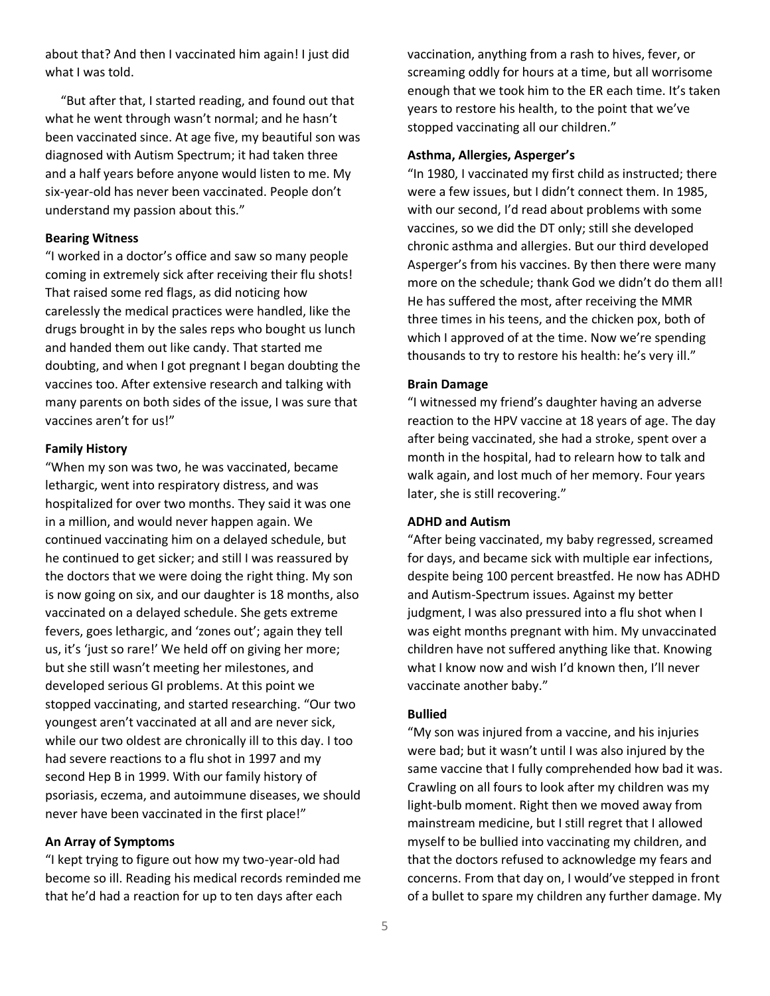about that? And then I vaccinated him again! I just did what I was told.

 "But after that, I started reading, and found out that what he went through wasn't normal; and he hasn't been vaccinated since. At age five, my beautiful son was diagnosed with Autism Spectrum; it had taken three and a half years before anyone would listen to me. My six-year-old has never been vaccinated. People don't understand my passion about this."

#### **Bearing Witness**

"I worked in a doctor's office and saw so many people coming in extremely sick after receiving their flu shots! That raised some red flags, as did noticing how carelessly the medical practices were handled, like the drugs brought in by the sales reps who bought us lunch and handed them out like candy. That started me doubting, and when I got pregnant I began doubting the vaccines too. After extensive research and talking with many parents on both sides of the issue, I was sure that vaccines aren't for us!"

#### **Family History**

"When my son was two, he was vaccinated, became lethargic, went into respiratory distress, and was hospitalized for over two months. They said it was one in a million, and would never happen again. We continued vaccinating him on a delayed schedule, but he continued to get sicker; and still I was reassured by the doctors that we were doing the right thing. My son is now going on six, and our daughter is 18 months, also vaccinated on a delayed schedule. She gets extreme fevers, goes lethargic, and 'zones out'; again they tell us, it's 'just so rare!' We held off on giving her more; but she still wasn't meeting her milestones, and developed serious GI problems. At this point we stopped vaccinating, and started researching. "Our two youngest aren't vaccinated at all and are never sick, while our two oldest are chronically ill to this day. I too had severe reactions to a flu shot in 1997 and my second Hep B in 1999. With our family history of psoriasis, eczema, and autoimmune diseases, we should never have been vaccinated in the first place!"

#### **An Array of Symptoms**

"I kept trying to figure out how my two-year-old had become so ill. Reading his medical records reminded me that he'd had a reaction for up to ten days after each

vaccination, anything from a rash to hives, fever, or screaming oddly for hours at a time, but all worrisome enough that we took him to the ER each time. It's taken years to restore his health, to the point that we've stopped vaccinating all our children."

#### **Asthma, Allergies, Asperger's**

"In 1980, I vaccinated my first child as instructed; there were a few issues, but I didn't connect them. In 1985, with our second, I'd read about problems with some vaccines, so we did the DT only; still she developed chronic asthma and allergies. But our third developed Asperger's from his vaccines. By then there were many more on the schedule; thank God we didn't do them all! He has suffered the most, after receiving the MMR three times in his teens, and the chicken pox, both of which I approved of at the time. Now we're spending thousands to try to restore his health: he's very ill."

#### **Brain Damage**

"I witnessed my friend's daughter having an adverse reaction to the HPV vaccine at 18 years of age. The day after being vaccinated, she had a stroke, spent over a month in the hospital, had to relearn how to talk and walk again, and lost much of her memory. Four years later, she is still recovering."

#### **ADHD and Autism**

"After being vaccinated, my baby regressed, screamed for days, and became sick with multiple ear infections, despite being 100 percent breastfed. He now has ADHD and Autism-Spectrum issues. Against my better judgment, I was also pressured into a flu shot when I was eight months pregnant with him. My unvaccinated children have not suffered anything like that. Knowing what I know now and wish I'd known then, I'll never vaccinate another baby."

## **Bullied**

"My son was injured from a vaccine, and his injuries were bad; but it wasn't until I was also injured by the same vaccine that I fully comprehended how bad it was. Crawling on all fours to look after my children was my light-bulb moment. Right then we moved away from mainstream medicine, but I still regret that I allowed myself to be bullied into vaccinating my children, and that the doctors refused to acknowledge my fears and concerns. From that day on, I would've stepped in front of a bullet to spare my children any further damage. My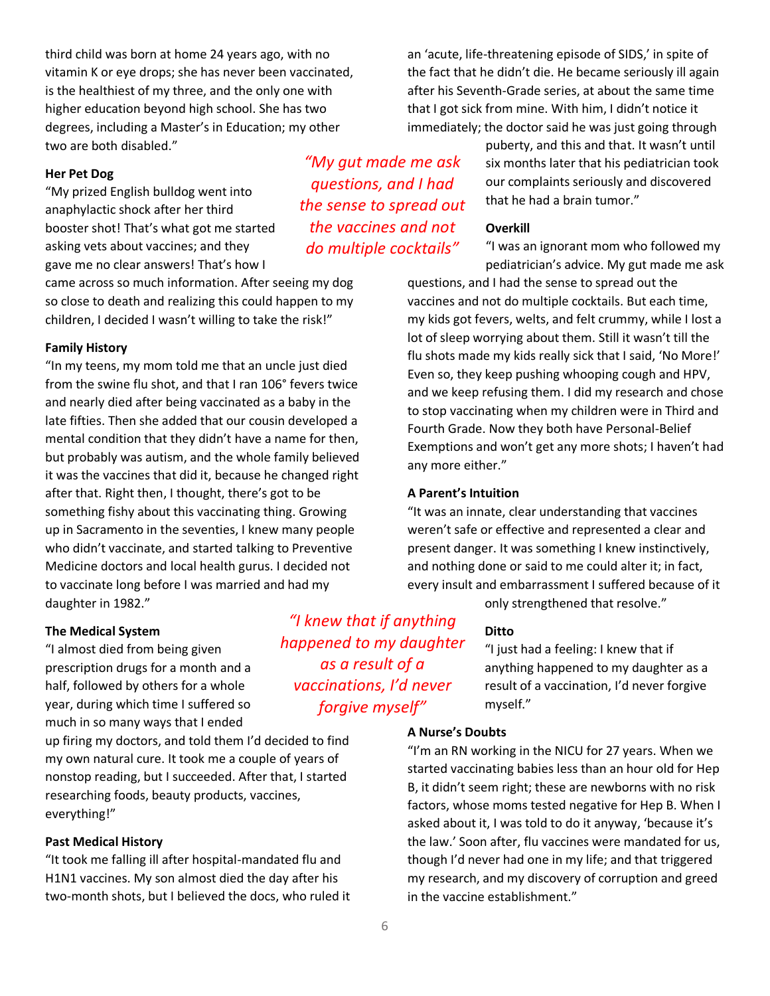third child was born at home 24 years ago, with no vitamin K or eye drops; she has never been vaccinated, is the healthiest of my three, and the only one with higher education beyond high school. She has two degrees, including a Master's in Education; my other two are both disabled."

#### **Her Pet Dog**

"My prized English bulldog went into anaphylactic shock after her third booster shot! That's what got me started asking vets about vaccines; and they gave me no clear answers! That's how I

came across so much information. After seeing my dog so close to death and realizing this could happen to my children, I decided I wasn't willing to take the risk!"

#### **Family History**

"In my teens, my mom told me that an uncle just died from the swine flu shot, and that I ran 106° fevers twice and nearly died after being vaccinated as a baby in the late fifties. Then she added that our cousin developed a mental condition that they didn't have a name for then, but probably was autism, and the whole family believed it was the vaccines that did it, because he changed right after that. Right then, I thought, there's got to be something fishy about this vaccinating thing. Growing up in Sacramento in the seventies, I knew many people who didn't vaccinate, and started talking to Preventive Medicine doctors and local health gurus. I decided not to vaccinate long before I was married and had my daughter in 1982."

#### **The Medical System**

"I almost died from being given prescription drugs for a month and a half, followed by others for a whole year, during which time I suffered so much in so many ways that I ended

up firing my doctors, and told them I'd decided to find my own natural cure. It took me a couple of years of nonstop reading, but I succeeded. After that, I started researching foods, beauty products, vaccines, everything!"

#### **Past Medical History**

"It took me falling ill after hospital-mandated flu and H1N1 vaccines. My son almost died the day after his two-month shots, but I believed the docs, who ruled it

*"I knew that if anything happened to my daughter as a result of a vaccinations, I'd never forgive myself"*

*"My gut made me ask questions, and I had the sense to spread out the vaccines and not do multiple cocktails"*

an 'acute, life-threatening episode of SIDS,' in spite of the fact that he didn't die. He became seriously ill again after his Seventh-Grade series, at about the same time that I got sick from mine. With him, I didn't notice it immediately; the doctor said he was just going through

puberty, and this and that. It wasn't until six months later that his pediatrician took our complaints seriously and discovered that he had a brain tumor."

#### **Overkill**

"I was an ignorant mom who followed my pediatrician's advice. My gut made me ask

questions, and I had the sense to spread out the vaccines and not do multiple cocktails. But each time, my kids got fevers, welts, and felt crummy, while I lost a lot of sleep worrying about them. Still it wasn't till the flu shots made my kids really sick that I said, 'No More!' Even so, they keep pushing whooping cough and HPV, and we keep refusing them. I did my research and chose to stop vaccinating when my children were in Third and Fourth Grade. Now they both have Personal-Belief Exemptions and won't get any more shots; I haven't had any more either."

#### **A Parent's Intuition**

"It was an innate, clear understanding that vaccines weren't safe or effective and represented a clear and present danger. It was something I knew instinctively, and nothing done or said to me could alter it; in fact, every insult and embarrassment I suffered because of it

only strengthened that resolve."

#### **Ditto**

"I just had a feeling: I knew that if anything happened to my daughter as a result of a vaccination, I'd never forgive myself."

#### **A Nurse's Doubts**

"I'm an RN working in the NICU for 27 years. When we started vaccinating babies less than an hour old for Hep B, it didn't seem right; these are newborns with no risk factors, whose moms tested negative for Hep B. When I asked about it, I was told to do it anyway, 'because it's the law.' Soon after, flu vaccines were mandated for us, though I'd never had one in my life; and that triggered my research, and my discovery of corruption and greed in the vaccine establishment."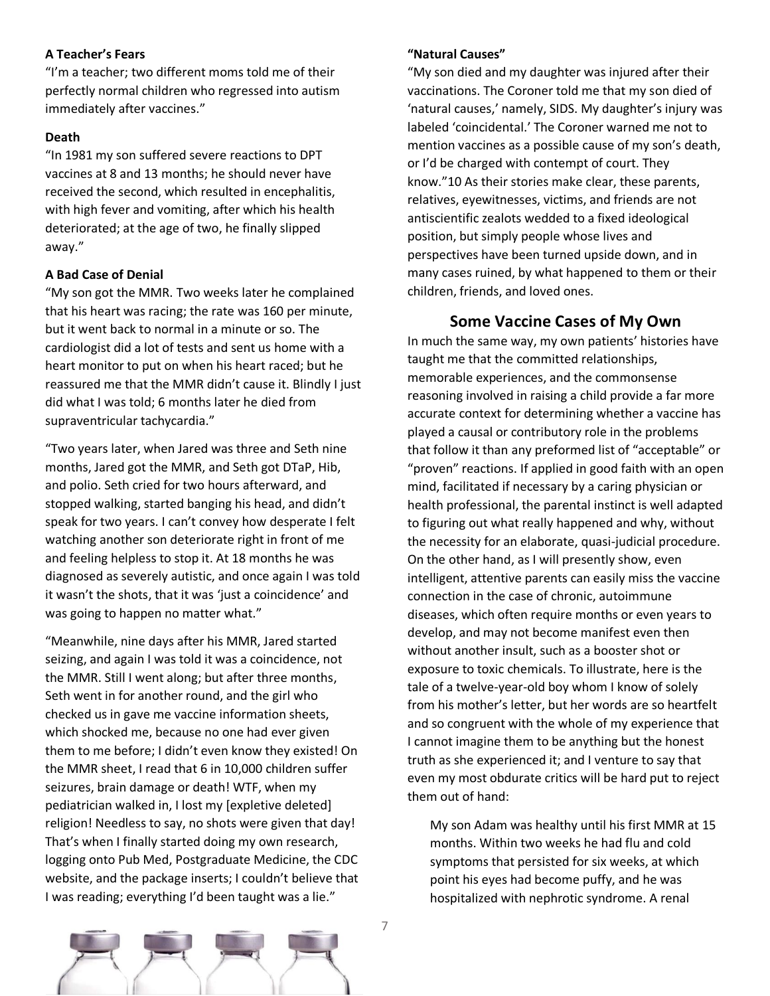#### **A Teacher's Fears**

"I'm a teacher; two different moms told me of their perfectly normal children who regressed into autism immediately after vaccines."

#### **Death**

"In 1981 my son suffered severe reactions to DPT vaccines at 8 and 13 months; he should never have received the second, which resulted in encephalitis, with high fever and vomiting, after which his health deteriorated; at the age of two, he finally slipped away."

#### **A Bad Case of Denial**

"My son got the MMR. Two weeks later he complained that his heart was racing; the rate was 160 per minute, but it went back to normal in a minute or so. The cardiologist did a lot of tests and sent us home with a heart monitor to put on when his heart raced; but he reassured me that the MMR didn't cause it. Blindly I just did what I was told; 6 months later he died from supraventricular tachycardia."

"Two years later, when Jared was three and Seth nine months, Jared got the MMR, and Seth got DTaP, Hib, and polio. Seth cried for two hours afterward, and stopped walking, started banging his head, and didn't speak for two years. I can't convey how desperate I felt watching another son deteriorate right in front of me and feeling helpless to stop it. At 18 months he was diagnosed as severely autistic, and once again I was told it wasn't the shots, that it was 'just a coincidence' and was going to happen no matter what."

"Meanwhile, nine days after his MMR, Jared started seizing, and again I was told it was a coincidence, not the MMR. Still I went along; but after three months, Seth went in for another round, and the girl who checked us in gave me vaccine information sheets, which shocked me, because no one had ever given them to me before; I didn't even know they existed! On the MMR sheet, I read that 6 in 10,000 children suffer seizures, brain damage or death! WTF, when my pediatrician walked in, I lost my [expletive deleted] religion! Needless to say, no shots were given that day! That's when I finally started doing my own research, logging onto Pub Med, Postgraduate Medicine, the CDC website, and the package inserts; I couldn't believe that I was reading; everything I'd been taught was a lie."

#### **"Natural Causes"**

"My son died and my daughter was injured after their vaccinations. The Coroner told me that my son died of 'natural causes,' namely, SIDS. My daughter's injury was labeled 'coincidental.' The Coroner warned me not to mention vaccines as a possible cause of my son's death, or I'd be charged with contempt of court. They know."10 As their stories make clear, these parents, relatives, eyewitnesses, victims, and friends are not antiscientific zealots wedded to a fixed ideological position, but simply people whose lives and perspectives have been turned upside down, and in many cases ruined, by what happened to them or their children, friends, and loved ones.

## **Some Vaccine Cases of My Own**

In much the same way, my own patients' histories have taught me that the committed relationships, memorable experiences, and the commonsense reasoning involved in raising a child provide a far more accurate context for determining whether a vaccine has played a causal or contributory role in the problems that follow it than any preformed list of "acceptable" or "proven" reactions. If applied in good faith with an open mind, facilitated if necessary by a caring physician or health professional, the parental instinct is well adapted to figuring out what really happened and why, without the necessity for an elaborate, quasi-judicial procedure. On the other hand, as I will presently show, even intelligent, attentive parents can easily miss the vaccine connection in the case of chronic, autoimmune diseases, which often require months or even years to develop, and may not become manifest even then without another insult, such as a booster shot or exposure to toxic chemicals. To illustrate, here is the tale of a twelve-year-old boy whom I know of solely from his mother's letter, but her words are so heartfelt and so congruent with the whole of my experience that I cannot imagine them to be anything but the honest truth as she experienced it; and I venture to say that even my most obdurate critics will be hard put to reject them out of hand:

My son Adam was healthy until his first MMR at 15 months. Within two weeks he had flu and cold symptoms that persisted for six weeks, at which point his eyes had become puffy, and he was hospitalized with nephrotic syndrome. A renal

7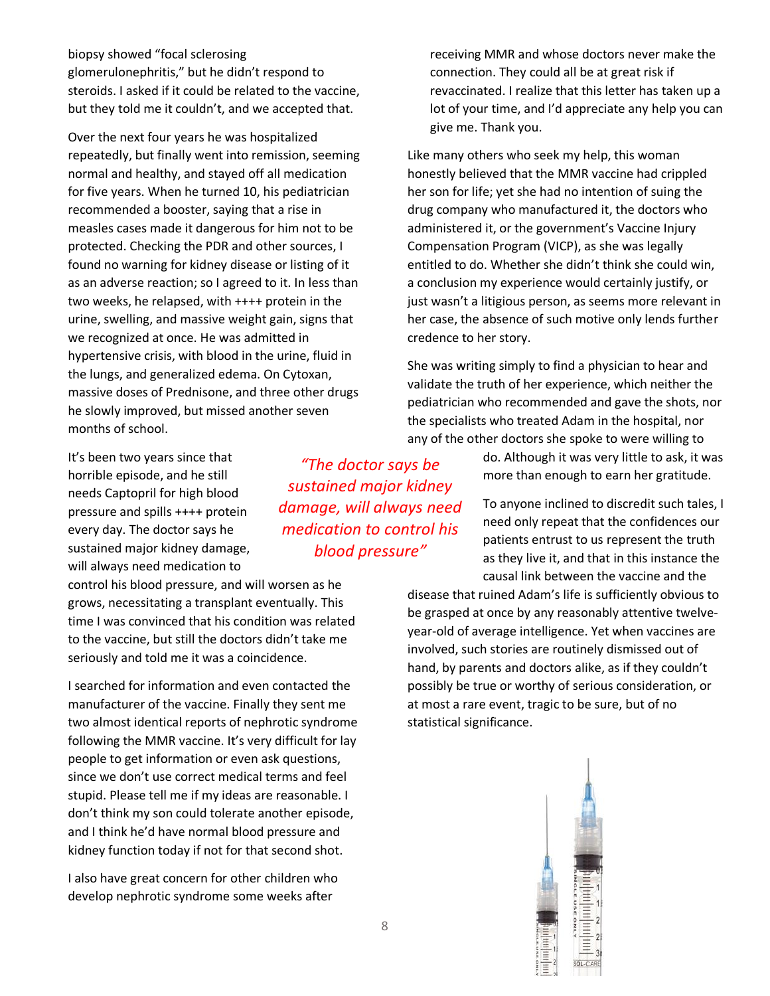biopsy showed "focal sclerosing glomerulonephritis," but he didn't respond to steroids. I asked if it could be related to the vaccine, but they told me it couldn't, and we accepted that.

Over the next four years he was hospitalized repeatedly, but finally went into remission, seeming normal and healthy, and stayed off all medication for five years. When he turned 10, his pediatrician recommended a booster, saying that a rise in measles cases made it dangerous for him not to be protected. Checking the PDR and other sources, I found no warning for kidney disease or listing of it as an adverse reaction; so I agreed to it. In less than two weeks, he relapsed, with ++++ protein in the urine, swelling, and massive weight gain, signs that we recognized at once. He was admitted in hypertensive crisis, with blood in the urine, fluid in the lungs, and generalized edema. On Cytoxan, massive doses of Prednisone, and three other drugs he slowly improved, but missed another seven months of school.

receiving MMR and whose doctors never make the connection. They could all be at great risk if revaccinated. I realize that this letter has taken up a lot of your time, and I'd appreciate any help you can give me. Thank you.

Like many others who seek my help, this woman honestly believed that the MMR vaccine had crippled her son for life; yet she had no intention of suing the drug company who manufactured it, the doctors who administered it, or the government's Vaccine Injury Compensation Program (VICP), as she was legally entitled to do. Whether she didn't think she could win, a conclusion my experience would certainly justify, or just wasn't a litigious person, as seems more relevant in her case, the absence of such motive only lends further credence to her story.

She was writing simply to find a physician to hear and validate the truth of her experience, which neither the pediatrician who recommended and gave the shots, nor the specialists who treated Adam in the hospital, nor any of the other doctors she spoke to were willing to

It's been two years since that horrible episode, and he still needs Captopril for high blood pressure and spills ++++ protein every day. The doctor says he sustained major kidney damage, will always need medication to

control his blood pressure, and will worsen as he grows, necessitating a transplant eventually. This time I was convinced that his condition was related to the vaccine, but still the doctors didn't take me seriously and told me it was a coincidence.

I searched for information and even contacted the manufacturer of the vaccine. Finally they sent me two almost identical reports of nephrotic syndrome following the MMR vaccine. It's very difficult for lay people to get information or even ask questions, since we don't use correct medical terms and feel stupid. Please tell me if my ideas are reasonable. I don't think my son could tolerate another episode, and I think he'd have normal blood pressure and kidney function today if not for that second shot.

I also have great concern for other children who develop nephrotic syndrome some weeks after

*"The doctor says be sustained major kidney damage, will always need medication to control his blood pressure"*

do. Although it was very little to ask, it was more than enough to earn her gratitude.

To anyone inclined to discredit such tales, I need only repeat that the confidences our patients entrust to us represent the truth as they live it, and that in this instance the causal link between the vaccine and the

disease that ruined Adam's life is sufficiently obvious to be grasped at once by any reasonably attentive twelveyear-old of average intelligence. Yet when vaccines are involved, such stories are routinely dismissed out of hand, by parents and doctors alike, as if they couldn't possibly be true or worthy of serious consideration, or at most a rare event, tragic to be sure, but of no statistical significance.

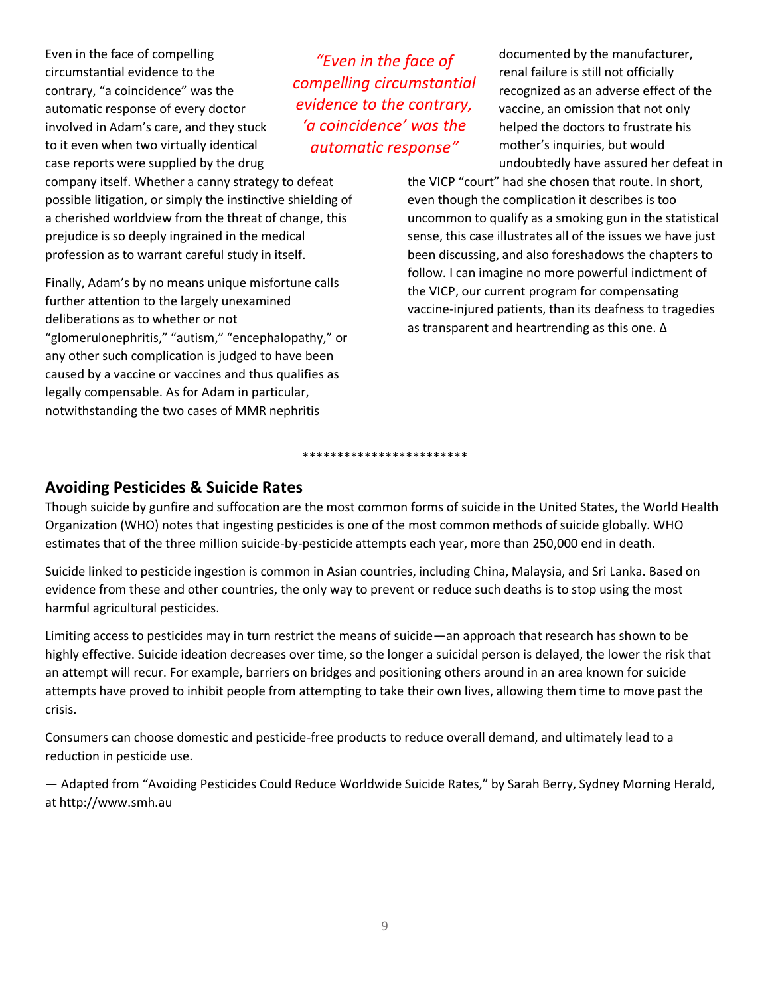Even in the face of compelling circumstantial evidence to the contrary, "a coincidence" was the automatic response of every doctor involved in Adam's care, and they stuck to it even when two virtually identical case reports were supplied by the drug

company itself. Whether a canny strategy to defeat possible litigation, or simply the instinctive shielding of a cherished worldview from the threat of change, this prejudice is so deeply ingrained in the medical profession as to warrant careful study in itself.

Finally, Adam's by no means unique misfortune calls further attention to the largely unexamined deliberations as to whether or not "glomerulonephritis," "autism," "encephalopathy," or any other such complication is judged to have been caused by a vaccine or vaccines and thus qualifies as legally compensable. As for Adam in particular, notwithstanding the two cases of MMR nephritis

*"Even in the face of compelling circumstantial evidence to the contrary, 'a coincidence' was the automatic response"*

documented by the manufacturer, renal failure is still not officially recognized as an adverse effect of the vaccine, an omission that not only helped the doctors to frustrate his mother's inquiries, but would undoubtedly have assured her defeat in

the VICP "court" had she chosen that route. In short, even though the complication it describes is too uncommon to qualify as a smoking gun in the statistical sense, this case illustrates all of the issues we have just been discussing, and also foreshadows the chapters to follow. I can imagine no more powerful indictment of the VICP, our current program for compensating vaccine-injured patients, than its deafness to tragedies as transparent and heartrending as this one. ∆

## **Avoiding Pesticides & Suicide Rates**

Though suicide by gunfire and suffocation are the most common forms of suicide in the United States, the World Health Organization (WHO) notes that ingesting pesticides is one of the most common methods of suicide globally. WHO estimates that of the three million suicide-by-pesticide attempts each year, more than 250,000 end in death.

\*\*\*\*\*\*\*\*\*\*\*\*\*\*\*\*\*\*\*\*\*\*\*\*

Suicide linked to pesticide ingestion is common in Asian countries, including China, Malaysia, and Sri Lanka. Based on evidence from these and other countries, the only way to prevent or reduce such deaths is to stop using the most harmful agricultural pesticides.

Limiting access to pesticides may in turn restrict the means of suicide—an approach that research has shown to be highly effective. Suicide ideation decreases over time, so the longer a suicidal person is delayed, the lower the risk that an attempt will recur. For example, barriers on bridges and positioning others around in an area known for suicide attempts have proved to inhibit people from attempting to take their own lives, allowing them time to move past the crisis.

Consumers can choose domestic and pesticide-free products to reduce overall demand, and ultimately lead to a reduction in pesticide use.

— Adapted from "Avoiding Pesticides Could Reduce Worldwide Suicide Rates," by Sarah Berry, Sydney Morning Herald, at http://www.smh.au